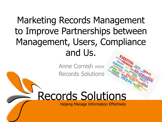# Marketing Records Management to Improve Partnerships between Management, Users, Compliance and Us.

**Anne Cornish MRIM** Records Solutions

# **Records Solutions**

**Helping Manage Information Effectively**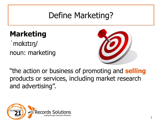#### Define Marketing?

#### **Marketing**

makɪtɪŋ/ noun: marketing



"the action or business of promoting and **selling** products or services, including market research and advertising".

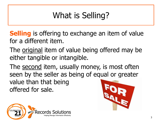# What is Selling?

**Selling** is offering to exchange an item of value for a different item.

The original item of value being offered may be either tangible or intangible.

The second item, usually money, is most often seen by the seller as being of equal or greater value than that being offered for sale.



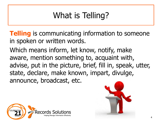# What is Telling?

**Telling** is communicating information to someone in spoken or written words.

Which means inform, let know, notify, make aware, mention something to, acquaint with, advise, put in the picture, brief, fill in, speak, utter, state, declare, make known, impart, divulge, announce, broadcast, etc.



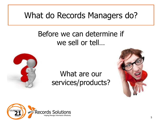#### What do Records Managers do?

#### Before we can determine if we sell or tell…



#### What are our services/products?



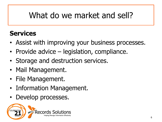#### What do we market and sell?

#### **Services**

- Assist with improving your business processes.
- Provide advice legislation, compliance.
- Storage and destruction services.
- Mail Management.
- File Management.
- Information Management.
- Develop processes.

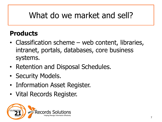#### What do we market and sell?

#### **Products**

- Classification scheme web content, libraries, intranet, portals, databases, core business systems.
- Retention and Disposal Schedules.
- Security Models.
- Information Asset Register.
- Vital Records Register.

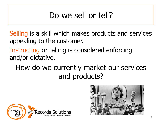#### Do we sell or tell?

Selling is a skill which makes products and services appealing to the customer.

#### Instructing or telling is considered enforcing and/or dictative.

#### How do we currently market our services and products?



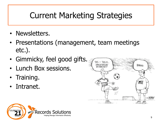#### Current Marketing Strategies

- Newsletters.
- Presentations (management, team meetings etc.).
- Gimmicky, feel good gifts.
- Lunch Box sessions.
- Training.
- Intranet.



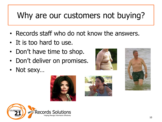#### Why are our customers not buying?

- Records staff who do not know the answers.
- It is too hard to use.
- Don't have time to shop.
- Don't deliver on promises.
- Not sexy…







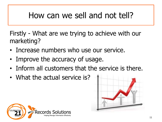#### How can we sell and not tell?

Firstly - What are we trying to achieve with our marketing?

- Increase numbers who use our service.
- Improve the accuracy of usage.
- Inform all customers that the service is there.
- What the actual service is?



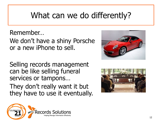#### What can we do differently?

Remember…

We don't have a shiny Porsche or a new iPhone to sell.

Selling records management can be like selling funeral services or tampons… They don't really want it but

they have to use it eventually.





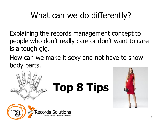#### What can we do differently?

Explaining the records management concept to people who don't really care or don't want to care is a tough gig.

How can we make it sexy and not have to show body parts.



# **Top 8 Tips**



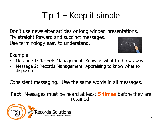# $Tip 1 - Keep it simple$

Don't use newsletter articles or long winded presentations. Try straight forward and succinct messages. Use terminology easy to understand.  $2 + 2 =$ 



Example:

- Message 1: Records Management: Knowing what to throw away
- Message 2: Records Management: Appraising to know what to dispose of.

Consistent messaging. Use the same words in all messages.

**Fact**: Messages must be heard at least **5 times** before they are retained.

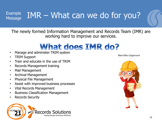#### $E_{\text{Xample}}$  IMR – What can we do for you? Message

The newly formed Information Management and Records Team (IMR) are working hard to improve our services.

#### What does IMR do?

- Manage and administer TRIM system
- TRIM Support
- Train and educate in the use of TRIM
- Records Management training
- Mail Management
- Archival Management
- Physical File Management
- Assist with improved business processes
- Vital Records Management
- Business Classification Management
- Records Security



Meet Miss Organised

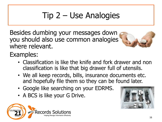# Tip 2 – Use Analogies

Besides dumbing your messages down you should also use common analogies where relevant.



Examples:

- Classification is like the knife and fork drawer and non classification is like that big drawer full of utensils.
- We all keep records, bills, insurance documents etc. and hopefully file them so they can be found later.
- Google like searching on your EDRMS.
- A BCS is like your G Drive.

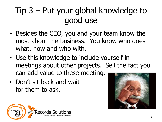### Tip 3 – Put your global knowledge to good use

- Besides the CEO, you and your team know the most about the business. You know who does what, how and who with.
- Use this knowledge to include yourself in meetings about other projects. Sell the fact you can add value to these meeting.
- Don't sit back and wait for them to ask.



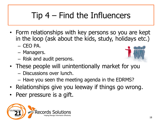# Tip 4 – Find the Influencers

- Form relationships with key persons so you are kept in the loop (ask about the kids, study, holidays etc.)  $-$  CFO PA.
	- Managers.
	- Risk and audit persons.



- These people will unintentionally market for you
	- Discussions over lunch.
	- Have you seen the meeting agenda in the EDRMS?
- Relationships give you leeway if things go wrong.
- Peer pressure is a gift.

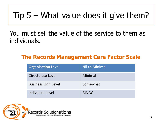#### Tip  $5 -$  What value does it give them?

#### You must sell the value of the service to them as individuals.

#### **The Records Management Care Factor Scale**

| <b>Organisation Level</b>  | <b>Nil to Minimal</b> |
|----------------------------|-----------------------|
| Directorate Level          | Minimal               |
| <b>Business Unit Level</b> | Somewhat              |
| Individual Level           | <b>BINGO</b>          |

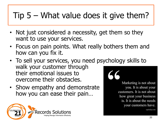#### Tip 5 – What value does it give them?

- Not just considered a necessity, get them so they want to use your services.
- Focus on pain points. What really bothers them and how can you fix it.
- To sell your services, you need psychology skills to walk your customer through their emotional issues to overcome their obstacles.
- Show empathy and demonstrate how you can ease their pain…

**CELEBRATING** 

Marketing is not about you. It is about your customers. It is not about how great your business is. It is about the needs your customers have.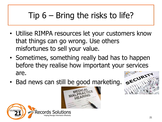# Tip 6 – Bring the risks to life?

- Utilise RIMPA resources let your customers know that things can go wrong. Use others misfortunes to sell your value.
- Sometimes, something really bad has to happen before they realise how important your services are. • Bad news can still be good marketing. SECURITY
- 





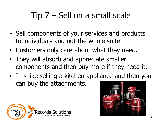### Tip 7 – Sell on a small scale

- Sell components of your services and products to individuals and not the whole suite.
- Customers only care about what they need.
- They will absorb and appreciate smaller components and then buy more if they need it.
- It is like selling a kitchen appliance and then you can buy the attachments.